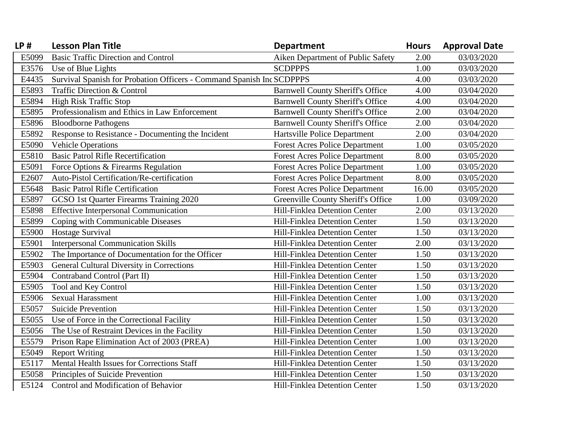| LP#   | <b>Lesson Plan Title</b>                                              | <b>Department</b>                       | <b>Hours</b> | <b>Approval Date</b> |
|-------|-----------------------------------------------------------------------|-----------------------------------------|--------------|----------------------|
| E5099 | <b>Basic Traffic Direction and Control</b>                            | Aiken Department of Public Safety       | 2.00         | 03/03/2020           |
| E3576 | Use of Blue Lights                                                    | <b>SCDPPPS</b>                          | 1.00         | 03/03/2020           |
| E4435 | Survival Spanish for Probation Officers - Command Spanish Inc SCDPPPS |                                         | 4.00         | 03/03/2020           |
| E5893 | Traffic Direction & Control                                           | <b>Barnwell County Sheriff's Office</b> | 4.00         | 03/04/2020           |
| E5894 | <b>High Risk Traffic Stop</b>                                         | <b>Barnwell County Sheriff's Office</b> | 4.00         | 03/04/2020           |
| E5895 | Professionalism and Ethics in Law Enforcement                         | <b>Barnwell County Sheriff's Office</b> | 2.00         | 03/04/2020           |
| E5896 | <b>Bloodborne Pathogens</b>                                           | <b>Barnwell County Sheriff's Office</b> | 2.00         | 03/04/2020           |
| E5892 | Response to Resistance - Documenting the Incident                     | Hartsville Police Department            | 2.00         | 03/04/2020           |
| E5090 | <b>Vehicle Operations</b>                                             | <b>Forest Acres Police Department</b>   | 1.00         | 03/05/2020           |
| E5810 | <b>Basic Patrol Rifle Recertification</b>                             | <b>Forest Acres Police Department</b>   | 8.00         | 03/05/2020           |
| E5091 | Force Options & Firearms Regulation                                   | <b>Forest Acres Police Department</b>   | 1.00         | 03/05/2020           |
| E2607 | Auto-Pistol Certification/Re-certification                            | <b>Forest Acres Police Department</b>   | 8.00         | 03/05/2020           |
| E5648 | <b>Basic Patrol Rifle Certification</b>                               | <b>Forest Acres Police Department</b>   | 16.00        | 03/05/2020           |
| E5897 | GCSO 1st Quarter Firearms Training 2020                               | Greenville County Sheriff's Office      | 1.00         | 03/09/2020           |
| E5898 | <b>Effective Interpersonal Communication</b>                          | Hill-Finklea Detention Center           | 2.00         | 03/13/2020           |
| E5899 | Coping with Communicable Diseases                                     | Hill-Finklea Detention Center           | 1.50         | 03/13/2020           |
| E5900 | Hostage Survival                                                      | Hill-Finklea Detention Center           | 1.50         | 03/13/2020           |
| E5901 | <b>Interpersonal Communication Skills</b>                             | Hill-Finklea Detention Center           | 2.00         | 03/13/2020           |
| E5902 | The Importance of Documentation for the Officer                       | Hill-Finklea Detention Center           | 1.50         | 03/13/2020           |
| E5903 | <b>General Cultural Diversity in Corrections</b>                      | Hill-Finklea Detention Center           | 1.50         | 03/13/2020           |
| E5904 | Contraband Control (Part II)                                          | Hill-Finklea Detention Center           | 1.50         | 03/13/2020           |
| E5905 | Tool and Key Control                                                  | Hill-Finklea Detention Center           | 1.50         | 03/13/2020           |
| E5906 | <b>Sexual Harassment</b>                                              | Hill-Finklea Detention Center           | 1.00         | 03/13/2020           |
| E5057 | <b>Suicide Prevention</b>                                             | Hill-Finklea Detention Center           | 1.50         | 03/13/2020           |
| E5055 | Use of Force in the Correctional Facility                             | Hill-Finklea Detention Center           | 1.50         | 03/13/2020           |
| E5056 | The Use of Restraint Devices in the Facility                          | Hill-Finklea Detention Center           | 1.50         | 03/13/2020           |
| E5579 | Prison Rape Elimination Act of 2003 (PREA)                            | Hill-Finklea Detention Center           | 1.00         | 03/13/2020           |
| E5049 | <b>Report Writing</b>                                                 | Hill-Finklea Detention Center           | 1.50         | 03/13/2020           |
| E5117 | Mental Health Issues for Corrections Staff                            | Hill-Finklea Detention Center           | 1.50         | 03/13/2020           |
| E5058 | Principles of Suicide Prevention                                      | Hill-Finklea Detention Center           | 1.50         | 03/13/2020           |
| E5124 | Control and Modification of Behavior                                  | Hill-Finklea Detention Center           | 1.50         | 03/13/2020           |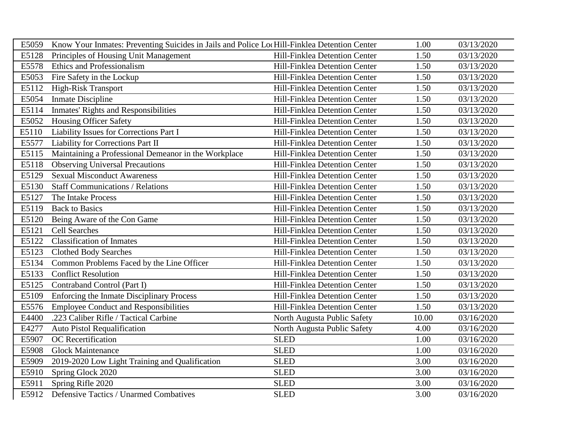| E5059 | Know Your Inmates: Preventing Suicides in Jails and Police Loc Hill-Finklea Detention Center |                               | 1.00  | 03/13/2020 |
|-------|----------------------------------------------------------------------------------------------|-------------------------------|-------|------------|
| E5128 | Principles of Housing Unit Management                                                        | Hill-Finklea Detention Center | 1.50  | 03/13/2020 |
| E5578 | <b>Ethics and Professionalism</b>                                                            | Hill-Finklea Detention Center | 1.50  | 03/13/2020 |
| E5053 | Fire Safety in the Lockup                                                                    | Hill-Finklea Detention Center | 1.50  | 03/13/2020 |
| E5112 | <b>High-Risk Transport</b>                                                                   | Hill-Finklea Detention Center | 1.50  | 03/13/2020 |
| E5054 | <b>Inmate Discipline</b>                                                                     | Hill-Finklea Detention Center | 1.50  | 03/13/2020 |
| E5114 | <b>Inmates' Rights and Responsibilities</b>                                                  | Hill-Finklea Detention Center | 1.50  | 03/13/2020 |
| E5052 | <b>Housing Officer Safety</b>                                                                | Hill-Finklea Detention Center | 1.50  | 03/13/2020 |
| E5110 | Liability Issues for Corrections Part I                                                      | Hill-Finklea Detention Center | 1.50  | 03/13/2020 |
| E5577 | Liability for Corrections Part II                                                            | Hill-Finklea Detention Center | 1.50  | 03/13/2020 |
| E5115 | Maintaining a Professional Demeanor in the Workplace                                         | Hill-Finklea Detention Center | 1.50  | 03/13/2020 |
| E5118 | <b>Observing Universal Precautions</b>                                                       | Hill-Finklea Detention Center | 1.50  | 03/13/2020 |
| E5129 | <b>Sexual Misconduct Awareness</b>                                                           | Hill-Finklea Detention Center | 1.50  | 03/13/2020 |
| E5130 | <b>Staff Communications / Relations</b>                                                      | Hill-Finklea Detention Center | 1.50  | 03/13/2020 |
| E5127 | The Intake Process                                                                           | Hill-Finklea Detention Center | 1.50  | 03/13/2020 |
| E5119 | <b>Back to Basics</b>                                                                        | Hill-Finklea Detention Center | 1.50  | 03/13/2020 |
| E5120 | Being Aware of the Con Game                                                                  | Hill-Finklea Detention Center | 1.50  | 03/13/2020 |
| E5121 | <b>Cell Searches</b>                                                                         | Hill-Finklea Detention Center | 1.50  | 03/13/2020 |
| E5122 | <b>Classification of Inmates</b>                                                             | Hill-Finklea Detention Center | 1.50  | 03/13/2020 |
| E5123 | <b>Clothed Body Searches</b>                                                                 | Hill-Finklea Detention Center | 1.50  | 03/13/2020 |
| E5134 | Common Problems Faced by the Line Officer                                                    | Hill-Finklea Detention Center | 1.50  | 03/13/2020 |
| E5133 | <b>Conflict Resolution</b>                                                                   | Hill-Finklea Detention Center | 1.50  | 03/13/2020 |
| E5125 | Contraband Control (Part I)                                                                  | Hill-Finklea Detention Center | 1.50  | 03/13/2020 |
| E5109 | <b>Enforcing the Inmate Disciplinary Process</b>                                             | Hill-Finklea Detention Center | 1.50  | 03/13/2020 |
| E5576 | <b>Employee Conduct and Responsibilities</b>                                                 | Hill-Finklea Detention Center | 1.50  | 03/13/2020 |
| E4400 | .223 Caliber Rifle / Tactical Carbine                                                        | North Augusta Public Safety   | 10.00 | 03/16/2020 |
| E4277 | <b>Auto Pistol Requalification</b>                                                           | North Augusta Public Safety   | 4.00  | 03/16/2020 |
| E5907 | OC Recertification                                                                           | <b>SLED</b>                   | 1.00  | 03/16/2020 |
| E5908 | <b>Glock Maintenance</b>                                                                     | <b>SLED</b>                   | 1.00  | 03/16/2020 |
| E5909 | 2019-2020 Low Light Training and Qualification                                               | <b>SLED</b>                   | 3.00  | 03/16/2020 |
| E5910 | Spring Glock 2020                                                                            | <b>SLED</b>                   | 3.00  | 03/16/2020 |
| E5911 | Spring Rifle 2020                                                                            | <b>SLED</b>                   | 3.00  | 03/16/2020 |
| E5912 | Defensive Tactics / Unarmed Combatives                                                       | <b>SLED</b>                   | 3.00  | 03/16/2020 |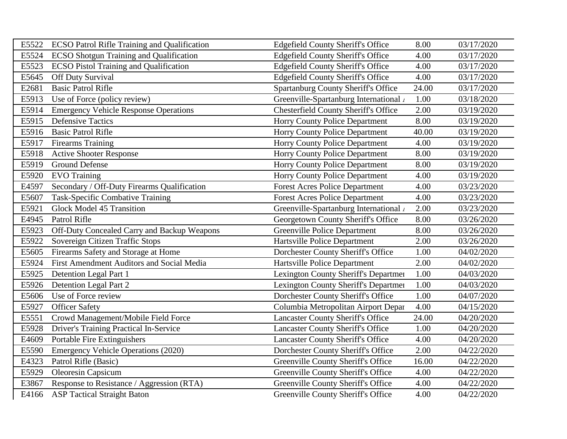| E5522 | <b>ECSO Patrol Rifle Training and Qualification</b> | <b>Edgefield County Sheriff's Office</b>    | 8.00  | 03/17/2020 |
|-------|-----------------------------------------------------|---------------------------------------------|-------|------------|
| E5524 | <b>ECSO Shotgun Training and Qualification</b>      | <b>Edgefield County Sheriff's Office</b>    | 4.00  | 03/17/2020 |
| E5523 | <b>ECSO Pistol Training and Qualification</b>       | <b>Edgefield County Sheriff's Office</b>    | 4.00  | 03/17/2020 |
| E5645 | Off Duty Survival                                   | <b>Edgefield County Sheriff's Office</b>    | 4.00  | 03/17/2020 |
| E2681 | <b>Basic Patrol Rifle</b>                           | <b>Spartanburg County Sheriff's Office</b>  | 24.00 | 03/17/2020 |
| E5913 | Use of Force (policy review)                        | Greenville-Spartanburg International /      | 1.00  | 03/18/2020 |
| E5914 | <b>Emergency Vehicle Response Operations</b>        | <b>Chesterfield County Sheriff's Office</b> | 2.00  | 03/19/2020 |
| E5915 | <b>Defensive Tactics</b>                            | <b>Horry County Police Department</b>       | 8.00  | 03/19/2020 |
| E5916 | <b>Basic Patrol Rifle</b>                           | <b>Horry County Police Department</b>       | 40.00 | 03/19/2020 |
| E5917 | <b>Firearms Training</b>                            | <b>Horry County Police Department</b>       | 4.00  | 03/19/2020 |
| E5918 | <b>Active Shooter Response</b>                      | <b>Horry County Police Department</b>       | 8.00  | 03/19/2020 |
| E5919 | <b>Ground Defense</b>                               | Horry County Police Department              | 8.00  | 03/19/2020 |
| E5920 | <b>EVO</b> Training                                 | Horry County Police Department              | 4.00  | 03/19/2020 |
| E4597 | Secondary / Off-Duty Firearms Qualification         | <b>Forest Acres Police Department</b>       | 4.00  | 03/23/2020 |
| E5607 | <b>Task-Specific Combative Training</b>             | <b>Forest Acres Police Department</b>       | 4.00  | 03/23/2020 |
| E5921 | Glock Model 45 Transition                           | Greenville-Spartanburg International /      | 2.00  | 03/23/2020 |
| E4945 | Patrol Rifle                                        | Georgetown County Sheriff's Office          | 8.00  | 03/26/2020 |
| E5923 | Off-Duty Concealed Carry and Backup Weapons         | <b>Greenville Police Department</b>         | 8.00  | 03/26/2020 |
| E5922 | Sovereign Citizen Traffic Stops                     | Hartsville Police Department                | 2.00  | 03/26/2020 |
| E5605 | Firearms Safety and Storage at Home                 | Dorchester County Sheriff's Office          | 1.00  | 04/02/2020 |
| E5924 | First Amendment Auditors and Social Media           | Hartsville Police Department                | 2.00  | 04/02/2020 |
| E5925 | Detention Legal Part 1                              | Lexington County Sheriff's Departmen        | 1.00  | 04/03/2020 |
| E5926 | Detention Legal Part 2                              | Lexington County Sheriff's Departmen        | 1.00  | 04/03/2020 |
| E5606 | Use of Force review                                 | Dorchester County Sheriff's Office          | 1.00  | 04/07/2020 |
| E5927 | <b>Officer Safety</b>                               | Columbia Metropolitan Airport Depar         | 4.00  | 04/15/2020 |
| E5551 | Crowd Management/Mobile Field Force                 | <b>Lancaster County Sheriff's Office</b>    | 24.00 | 04/20/2020 |
| E5928 | Driver's Training Practical In-Service              | <b>Lancaster County Sheriff's Office</b>    | 1.00  | 04/20/2020 |
| E4609 | Portable Fire Extinguishers                         | <b>Lancaster County Sheriff's Office</b>    | 4.00  | 04/20/2020 |
| E5590 | <b>Emergency Vehicle Operations (2020)</b>          | Dorchester County Sheriff's Office          | 2.00  | 04/22/2020 |
| E4323 | Patrol Rifle (Basic)                                | Greenville County Sheriff's Office          | 16.00 | 04/22/2020 |
| E5929 | Oleoresin Capsicum                                  | Greenville County Sheriff's Office          | 4.00  | 04/22/2020 |
| E3867 | Response to Resistance / Aggression (RTA)           | Greenville County Sheriff's Office          | 4.00  | 04/22/2020 |
| E4166 | <b>ASP</b> Tactical Straight Baton                  | Greenville County Sheriff's Office          | 4.00  | 04/22/2020 |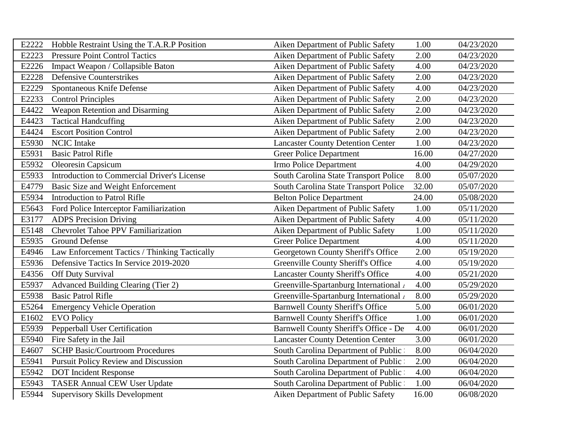| E2222 | Hobble Restraint Using the T.A.R.P Position   | Aiken Department of Public Safety         | 1.00  | 04/23/2020 |
|-------|-----------------------------------------------|-------------------------------------------|-------|------------|
| E2223 | <b>Pressure Point Control Tactics</b>         | Aiken Department of Public Safety         | 2.00  | 04/23/2020 |
| E2226 | Impact Weapon / Collapsible Baton             | Aiken Department of Public Safety         | 4.00  | 04/23/2020 |
| E2228 | <b>Defensive Counterstrikes</b>               | Aiken Department of Public Safety         | 2.00  | 04/23/2020 |
| E2229 | Spontaneous Knife Defense                     | Aiken Department of Public Safety         | 4.00  | 04/23/2020 |
| E2233 | <b>Control Principles</b>                     | Aiken Department of Public Safety         | 2.00  | 04/23/2020 |
| E4422 | Weapon Retention and Disarming                | Aiken Department of Public Safety         | 2.00  | 04/23/2020 |
| E4423 | <b>Tactical Handcuffing</b>                   | Aiken Department of Public Safety         | 2.00  | 04/23/2020 |
| E4424 | <b>Escort Position Control</b>                | Aiken Department of Public Safety         | 2.00  | 04/23/2020 |
| E5930 | <b>NCIC</b> Intake                            | <b>Lancaster County Detention Center</b>  | 1.00  | 04/23/2020 |
| E5931 | <b>Basic Patrol Rifle</b>                     | <b>Greer Police Department</b>            | 16.00 | 04/27/2020 |
| E5932 | <b>Oleoresin Capsicum</b>                     | Irmo Police Department                    | 4.00  | 04/29/2020 |
| E5933 | Introduction to Commercial Driver's License   | South Carolina State Transport Police     | 8.00  | 05/07/2020 |
| E4779 | Basic Size and Weight Enforcement             | South Carolina State Transport Police     | 32.00 | 05/07/2020 |
| E5934 | <b>Introduction to Patrol Rifle</b>           | <b>Belton Police Department</b>           | 24.00 | 05/08/2020 |
| E5643 | Ford Police Interceptor Familiarization       | Aiken Department of Public Safety         | 1.00  | 05/11/2020 |
| E3177 | <b>ADPS</b> Precision Driving                 | Aiken Department of Public Safety         | 4.00  | 05/11/2020 |
| E5148 | <b>Chevrolet Tahoe PPV Familiarization</b>    | Aiken Department of Public Safety         | 1.00  | 05/11/2020 |
| E5935 | <b>Ground Defense</b>                         | <b>Greer Police Department</b>            | 4.00  | 05/11/2020 |
| E4946 | Law Enforcement Tactics / Thinking Tactically | Georgetown County Sheriff's Office        | 2.00  | 05/19/2020 |
| E5936 | Defensive Tactics In Service 2019-2020        | <b>Greenville County Sheriff's Office</b> | 4.00  | 05/19/2020 |
| E4356 | Off Duty Survival                             | <b>Lancaster County Sheriff's Office</b>  | 4.00  | 05/21/2020 |
| E5937 | Advanced Building Clearing (Tier 2)           | Greenville-Spartanburg International      | 4.00  | 05/29/2020 |
| E5938 | <b>Basic Patrol Rifle</b>                     | Greenville-Spartanburg International      | 8.00  | 05/29/2020 |
| E5264 | <b>Emergency Vehicle Operation</b>            | <b>Barnwell County Sheriff's Office</b>   | 5.00  | 06/01/2020 |
| E1602 | <b>EVO Policy</b>                             | <b>Barnwell County Sheriff's Office</b>   | 1.00  | 06/01/2020 |
| E5939 | Pepperball User Certification                 | Barnwell County Sheriff's Office - De     | 4.00  | 06/01/2020 |
| E5940 | Fire Safety in the Jail                       | <b>Lancaster County Detention Center</b>  | 3.00  | 06/01/2020 |
| E4607 | <b>SCHP Basic/Courtroom Procedures</b>        | South Carolina Department of Public       | 8.00  | 06/04/2020 |
| E5941 | <b>Pursuit Policy Review and Discussion</b>   | South Carolina Department of Public       | 2.00  | 06/04/2020 |
| E5942 | <b>DOT</b> Incident Response                  | South Carolina Department of Public       | 4.00  | 06/04/2020 |
| E5943 | <b>TASER Annual CEW User Update</b>           | South Carolina Department of Public       | 1.00  | 06/04/2020 |
| E5944 | <b>Supervisory Skills Development</b>         | Aiken Department of Public Safety         | 16.00 | 06/08/2020 |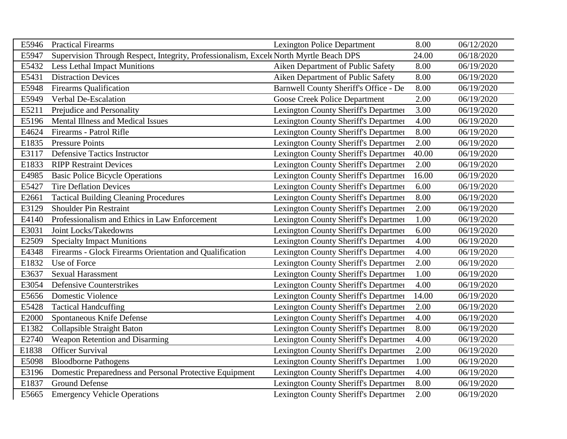| E5946 | <b>Practical Firearms</b>                                                             | <b>Lexington Police Department</b>          | 8.00  | 06/12/2020 |
|-------|---------------------------------------------------------------------------------------|---------------------------------------------|-------|------------|
| E5947 | Supervision Through Respect, Integrity, Professionalism, Excel North Myrtle Beach DPS |                                             | 24.00 | 06/18/2020 |
| E5432 | <b>Less Lethal Impact Munitions</b>                                                   | Aiken Department of Public Safety           | 8.00  | 06/19/2020 |
| E5431 | <b>Distraction Devices</b>                                                            | Aiken Department of Public Safety           | 8.00  | 06/19/2020 |
| E5948 | <b>Firearms Qualification</b>                                                         | Barnwell County Sheriff's Office - De       | 8.00  | 06/19/2020 |
| E5949 | Verbal De-Escalation                                                                  | <b>Goose Creek Police Department</b>        | 2.00  | 06/19/2020 |
| E5211 | Prejudice and Personality                                                             | <b>Lexington County Sheriff's Departmen</b> | 3.00  | 06/19/2020 |
| E5196 | Mental Illness and Medical Issues                                                     | Lexington County Sheriff's Departmen        | 4.00  | 06/19/2020 |
| E4624 | Firearms - Patrol Rifle                                                               | Lexington County Sheriff's Departmen        | 8.00  | 06/19/2020 |
| E1835 | <b>Pressure Points</b>                                                                | Lexington County Sheriff's Departmen        | 2.00  | 06/19/2020 |
| E3117 | <b>Defensive Tactics Instructor</b>                                                   | Lexington County Sheriff's Departmen        | 40.00 | 06/19/2020 |
| E1833 | <b>RIPP Restraint Devices</b>                                                         | Lexington County Sheriff's Departmen        | 2.00  | 06/19/2020 |
| E4985 | <b>Basic Police Bicycle Operations</b>                                                | Lexington County Sheriff's Departmen        | 16.00 | 06/19/2020 |
| E5427 | <b>Tire Deflation Devices</b>                                                         | Lexington County Sheriff's Departmen        | 6.00  | 06/19/2020 |
| E2661 | <b>Tactical Building Cleaning Procedures</b>                                          | Lexington County Sheriff's Departmen        | 8.00  | 06/19/2020 |
| E3129 | Shoulder Pin Restraint                                                                | Lexington County Sheriff's Departmen        | 2.00  | 06/19/2020 |
| E4140 | Professionalism and Ethics in Law Enforcement                                         | Lexington County Sheriff's Departmen        | 1.00  | 06/19/2020 |
| E3031 | Joint Locks/Takedowns                                                                 | Lexington County Sheriff's Departmen        | 6.00  | 06/19/2020 |
| E2509 | <b>Specialty Impact Munitions</b>                                                     | Lexington County Sheriff's Departmen        | 4.00  | 06/19/2020 |
| E4348 | Firearms - Glock Firearms Orientation and Qualification                               | Lexington County Sheriff's Departmen        | 4.00  | 06/19/2020 |
| E1832 | Use of Force                                                                          | Lexington County Sheriff's Departmen        | 2.00  | 06/19/2020 |
| E3637 | Sexual Harassment                                                                     | Lexington County Sheriff's Departmen        | 1.00  | 06/19/2020 |
| E3054 | <b>Defensive Counterstrikes</b>                                                       | Lexington County Sheriff's Departmen        | 4.00  | 06/19/2020 |
| E5656 | <b>Domestic Violence</b>                                                              | Lexington County Sheriff's Departmen        | 14.00 | 06/19/2020 |
| E5428 | <b>Tactical Handcuffing</b>                                                           | Lexington County Sheriff's Departmen        | 2.00  | 06/19/2020 |
| E2000 | Spontaneous Knife Defense                                                             | Lexington County Sheriff's Departmen        | 4.00  | 06/19/2020 |
| E1382 | Collapsible Straight Baton                                                            | Lexington County Sheriff's Departmen        | 8.00  | 06/19/2020 |
| E2740 | Weapon Retention and Disarming                                                        | Lexington County Sheriff's Departmen        | 4.00  | 06/19/2020 |
| E1838 | <b>Officer Survival</b>                                                               | Lexington County Sheriff's Departmen        | 2.00  | 06/19/2020 |
| E5098 | <b>Bloodborne Pathogens</b>                                                           | Lexington County Sheriff's Departmen        | 1.00  | 06/19/2020 |
| E3196 | Domestic Preparedness and Personal Protective Equipment                               | <b>Lexington County Sheriff's Departmen</b> | 4.00  | 06/19/2020 |
| E1837 | <b>Ground Defense</b>                                                                 | Lexington County Sheriff's Departmen        | 8.00  | 06/19/2020 |
| E5665 | <b>Emergency Vehicle Operations</b>                                                   | <b>Lexington County Sheriff's Departmen</b> | 2.00  | 06/19/2020 |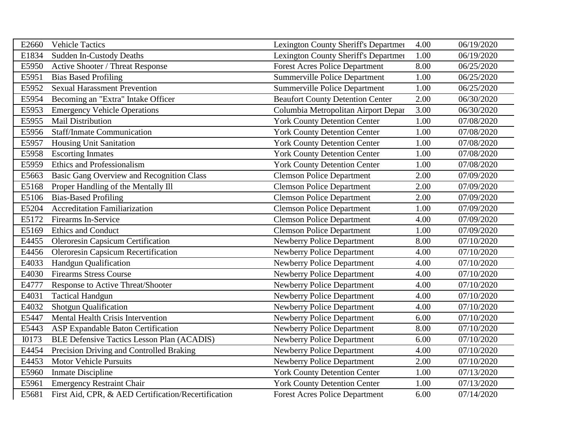| E2660        | <b>Vehicle Tactics</b>                              | Lexington County Sheriff's Departmen    | 4.00 | 06/19/2020 |
|--------------|-----------------------------------------------------|-----------------------------------------|------|------------|
| E1834        | <b>Sudden In-Custody Deaths</b>                     | Lexington County Sheriff's Departmen    | 1.00 | 06/19/2020 |
| E5950        | Active Shooter / Threat Response                    | <b>Forest Acres Police Department</b>   | 8.00 | 06/25/2020 |
| E5951        | <b>Bias Based Profiling</b>                         | <b>Summerville Police Department</b>    | 1.00 | 06/25/2020 |
| E5952        | <b>Sexual Harassment Prevention</b>                 | <b>Summerville Police Department</b>    | 1.00 | 06/25/2020 |
| E5954        | Becoming an "Extra" Intake Officer                  | <b>Beaufort County Detention Center</b> | 2.00 | 06/30/2020 |
| E5953        | <b>Emergency Vehicle Operations</b>                 | Columbia Metropolitan Airport Depar     | 3.00 | 06/30/2020 |
| E5955        | <b>Mail Distribution</b>                            | <b>York County Detention Center</b>     | 1.00 | 07/08/2020 |
| E5956        | <b>Staff/Inmate Communication</b>                   | <b>York County Detention Center</b>     | 1.00 | 07/08/2020 |
| E5957        | Housing Unit Sanitation                             | <b>York County Detention Center</b>     | 1.00 | 07/08/2020 |
| E5958        | <b>Escorting Inmates</b>                            | <b>York County Detention Center</b>     | 1.00 | 07/08/2020 |
| E5959        | Ethics and Professionalism                          | <b>York County Detention Center</b>     | 1.00 | 07/08/2020 |
| E5663        | <b>Basic Gang Overview and Recognition Class</b>    | <b>Clemson Police Department</b>        | 2.00 | 07/09/2020 |
| E5168        | Proper Handling of the Mentally Ill                 | <b>Clemson Police Department</b>        | 2.00 | 07/09/2020 |
| E5106        | <b>Bias-Based Profiling</b>                         | <b>Clemson Police Department</b>        | 2.00 | 07/09/2020 |
| E5204        | <b>Accreditation Familiarization</b>                | <b>Clemson Police Department</b>        | 1.00 | 07/09/2020 |
| E5172        | <b>Firearms In-Service</b>                          | <b>Clemson Police Department</b>        | 4.00 | 07/09/2020 |
| E5169        | <b>Ethics and Conduct</b>                           | <b>Clemson Police Department</b>        | 1.00 | 07/09/2020 |
| E4455        | <b>Oleroresin Capsicum Certification</b>            | <b>Newberry Police Department</b>       | 8.00 | 07/10/2020 |
| E4456        | <b>Oleroresin Capsicum Recertification</b>          | Newberry Police Department              | 4.00 | 07/10/2020 |
| E4033        | <b>Handgun Qualification</b>                        | <b>Newberry Police Department</b>       | 4.00 | 07/10/2020 |
| E4030        | <b>Firearms Stress Course</b>                       | <b>Newberry Police Department</b>       | 4.00 | 07/10/2020 |
| E4777        | Response to Active Threat/Shooter                   | Newberry Police Department              | 4.00 | 07/10/2020 |
| E4031        | <b>Tactical Handgun</b>                             | <b>Newberry Police Department</b>       | 4.00 | 07/10/2020 |
| E4032        | <b>Shotgun Qualification</b>                        | <b>Newberry Police Department</b>       | 4.00 | 07/10/2020 |
| E5447        | Mental Health Crisis Intervention                   | Newberry Police Department              | 6.00 | 07/10/2020 |
| E5443        | ASP Expandable Baton Certification                  | <b>Newberry Police Department</b>       | 8.00 | 07/10/2020 |
| <b>I0173</b> | <b>BLE Defensive Tactics Lesson Plan (ACADIS)</b>   | <b>Newberry Police Department</b>       | 6.00 | 07/10/2020 |
| E4454        | Precision Driving and Controlled Braking            | <b>Newberry Police Department</b>       | 4.00 | 07/10/2020 |
| E4453        | <b>Motor Vehicle Pursuits</b>                       | <b>Newberry Police Department</b>       | 2.00 | 07/10/2020 |
| E5960        | <b>Inmate Discipline</b>                            | <b>York County Detention Center</b>     | 1.00 | 07/13/2020 |
| E5961        | <b>Emergency Restraint Chair</b>                    | <b>York County Detention Center</b>     | 1.00 | 07/13/2020 |
| E5681        | First Aid, CPR, & AED Certification/Recertification | <b>Forest Acres Police Department</b>   | 6.00 | 07/14/2020 |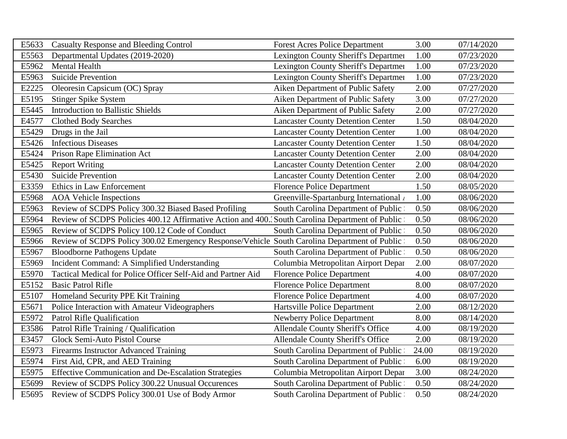| E5633 | <b>Casualty Response and Bleeding Control</b>                                                   | <b>Forest Acres Police Department</b>       | 3.00  | 07/14/2020 |
|-------|-------------------------------------------------------------------------------------------------|---------------------------------------------|-------|------------|
| E5563 | Departmental Updates (2019-2020)                                                                | Lexington County Sheriff's Departmen        | 1.00  | 07/23/2020 |
| E5962 | Mental Health                                                                                   | <b>Lexington County Sheriff's Departmen</b> | 1.00  | 07/23/2020 |
| E5963 | <b>Suicide Prevention</b>                                                                       | Lexington County Sheriff's Departmen        | 1.00  | 07/23/2020 |
| E2225 | Oleoresin Capsicum (OC) Spray                                                                   | Aiken Department of Public Safety           | 2.00  | 07/27/2020 |
| E5195 | <b>Stinger Spike System</b>                                                                     | Aiken Department of Public Safety           | 3.00  | 07/27/2020 |
| E5445 | <b>Introduction to Ballistic Shields</b>                                                        | Aiken Department of Public Safety           | 2.00  | 07/27/2020 |
| E4577 | <b>Clothed Body Searches</b>                                                                    | <b>Lancaster County Detention Center</b>    | 1.50  | 08/04/2020 |
| E5429 | Drugs in the Jail                                                                               | <b>Lancaster County Detention Center</b>    | 1.00  | 08/04/2020 |
| E5426 | <b>Infectious Diseases</b>                                                                      | <b>Lancaster County Detention Center</b>    | 1.50  | 08/04/2020 |
| E5424 | Prison Rape Elimination Act                                                                     | <b>Lancaster County Detention Center</b>    | 2.00  | 08/04/2020 |
| E5425 | <b>Report Writing</b>                                                                           | <b>Lancaster County Detention Center</b>    | 2.00  | 08/04/2020 |
| E5430 | <b>Suicide Prevention</b>                                                                       | <b>Lancaster County Detention Center</b>    | 2.00  | 08/04/2020 |
| E3359 | Ethics in Law Enforcement                                                                       | <b>Florence Police Department</b>           | 1.50  | 08/05/2020 |
| E5968 | <b>AOA</b> Vehicle Inspections                                                                  | Greenville-Spartanburg International /      | 1.00  | 08/06/2020 |
| E5963 | Review of SCDPS Policy 300.32 Biased Based Profiling                                            | South Carolina Department of Public         | 0.50  | 08/06/2020 |
| E5964 | Review of SCDPS Policies 400.12 Affirmative Action and 400. South Carolina Department of Public |                                             | 0.50  | 08/06/2020 |
| E5965 | Review of SCDPS Policy 100.12 Code of Conduct                                                   | South Carolina Department of Public         | 0.50  | 08/06/2020 |
| E5966 | Review of SCDPS Policy 300.02 Emergency Response/Vehicle South Carolina Department of Public    |                                             | 0.50  | 08/06/2020 |
| E5967 | <b>Bloodborne Pathogens Update</b>                                                              | South Carolina Department of Public         | 0.50  | 08/06/2020 |
| E5969 | Incident Command: A Simplified Understanding                                                    | Columbia Metropolitan Airport Depar         | 2.00  | 08/07/2020 |
| E5970 | Tactical Medical for Police Officer Self-Aid and Partner Aid                                    | <b>Florence Police Department</b>           | 4.00  | 08/07/2020 |
| E5152 | <b>Basic Patrol Rifle</b>                                                                       | <b>Florence Police Department</b>           | 8.00  | 08/07/2020 |
| E5107 | Homeland Security PPE Kit Training                                                              | <b>Florence Police Department</b>           | 4.00  | 08/07/2020 |
| E5671 | Police Interaction with Amateur Videographers                                                   | Hartsville Police Department                | 2.00  | 08/12/2020 |
| E5972 | <b>Patrol Rifle Qualification</b>                                                               | <b>Newberry Police Department</b>           | 8.00  | 08/14/2020 |
| E3586 | Patrol Rifle Training / Qualification                                                           | <b>Allendale County Sheriff's Office</b>    | 4.00  | 08/19/2020 |
| E3457 | Glock Semi-Auto Pistol Course                                                                   | <b>Allendale County Sheriff's Office</b>    | 2.00  | 08/19/2020 |
| E5973 | Firearms Instructor Advanced Training                                                           | South Carolina Department of Public         | 24.00 | 08/19/2020 |
| E5974 | First Aid, CPR, and AED Training                                                                | South Carolina Department of Public         | 6.00  | 08/19/2020 |
| E5975 | <b>Effective Communication and De-Escalation Strategies</b>                                     | Columbia Metropolitan Airport Depar         | 3.00  | 08/24/2020 |
| E5699 | Review of SCDPS Policy 300.22 Unusual Occurences                                                | South Carolina Department of Public         | 0.50  | 08/24/2020 |
| E5695 | Review of SCDPS Policy 300.01 Use of Body Armor                                                 | South Carolina Department of Public         | 0.50  | 08/24/2020 |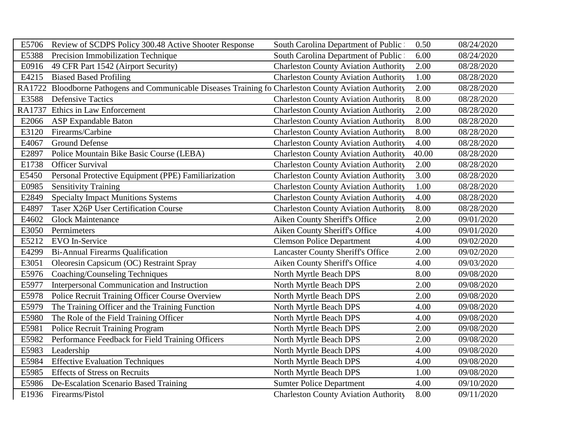| E5706  | Review of SCDPS Policy 300.48 Active Shooter Response                                           | South Carolina Department of Public         | 0.50  | 08/24/2020 |
|--------|-------------------------------------------------------------------------------------------------|---------------------------------------------|-------|------------|
| E5388  | Precision Immobilization Technique                                                              | South Carolina Department of Public         | 6.00  | 08/24/2020 |
| E0916  | 49 CFR Part 1542 (Airport Security)                                                             | <b>Charleston County Aviation Authority</b> | 2.00  | 08/28/2020 |
| E4215  | <b>Biased Based Profiling</b>                                                                   | <b>Charleston County Aviation Authority</b> | 1.00  | 08/28/2020 |
| RA1722 | Bloodborne Pathogens and Communicable Diseases Training fo Charleston County Aviation Authority |                                             | 2.00  | 08/28/2020 |
| E3588  | <b>Defensive Tactics</b>                                                                        | <b>Charleston County Aviation Authority</b> | 8.00  | 08/28/2020 |
|        | RA1737 Ethics in Law Enforcement                                                                | <b>Charleston County Aviation Authority</b> | 2.00  | 08/28/2020 |
| E2066  | <b>ASP Expandable Baton</b>                                                                     | <b>Charleston County Aviation Authority</b> | 8.00  | 08/28/2020 |
| E3120  | Firearms/Carbine                                                                                | <b>Charleston County Aviation Authority</b> | 8.00  | 08/28/2020 |
| E4067  | <b>Ground Defense</b>                                                                           | <b>Charleston County Aviation Authority</b> | 4.00  | 08/28/2020 |
| E2897  | Police Mountain Bike Basic Course (LEBA)                                                        | <b>Charleston County Aviation Authority</b> | 40.00 | 08/28/2020 |
| E1738  | <b>Officer Survival</b>                                                                         | <b>Charleston County Aviation Authority</b> | 2.00  | 08/28/2020 |
| E5450  | Personal Protective Equipment (PPE) Familiarization                                             | <b>Charleston County Aviation Authority</b> | 3.00  | 08/28/2020 |
| E0985  | <b>Sensitivity Training</b>                                                                     | <b>Charleston County Aviation Authority</b> | 1.00  | 08/28/2020 |
| E2849  | <b>Specialty Impact Munitions Systems</b>                                                       | <b>Charleston County Aviation Authority</b> | 4.00  | 08/28/2020 |
| E4897  | <b>Taser X26P User Certification Course</b>                                                     | <b>Charleston County Aviation Authority</b> | 8.00  | 08/28/2020 |
| E4602  | <b>Glock Maintenance</b>                                                                        | Aiken County Sheriff's Office               | 2.00  | 09/01/2020 |
| E3050  | Permimeters                                                                                     | Aiken County Sheriff's Office               | 4.00  | 09/01/2020 |
| E5212  | EVO In-Service                                                                                  | <b>Clemson Police Department</b>            | 4.00  | 09/02/2020 |
| E4299  | <b>Bi-Annual Firearms Qualification</b>                                                         | <b>Lancaster County Sheriff's Office</b>    | 2.00  | 09/02/2020 |
| E3051  | Oleoresin Capsicum (OC) Restraint Spray                                                         | Aiken County Sheriff's Office               | 4.00  | 09/03/2020 |
| E5976  | Coaching/Counseling Techniques                                                                  | North Myrtle Beach DPS                      | 8.00  | 09/08/2020 |
| E5977  | Interpersonal Communication and Instruction                                                     | North Myrtle Beach DPS                      | 2.00  | 09/08/2020 |
| E5978  | Police Recruit Training Officer Course Overview                                                 | North Myrtle Beach DPS                      | 2.00  | 09/08/2020 |
| E5979  | The Training Officer and the Training Function                                                  | North Myrtle Beach DPS                      | 4.00  | 09/08/2020 |
| E5980  | The Role of the Field Training Officer                                                          | North Myrtle Beach DPS                      | 4.00  | 09/08/2020 |
| E5981  | Police Recruit Training Program                                                                 | North Myrtle Beach DPS                      | 2.00  | 09/08/2020 |
| E5982  | Performance Feedback for Field Training Officers                                                | North Myrtle Beach DPS                      | 2.00  | 09/08/2020 |
| E5983  | Leadership                                                                                      | North Myrtle Beach DPS                      | 4.00  | 09/08/2020 |
| E5984  | <b>Effective Evaluation Techniques</b>                                                          | North Myrtle Beach DPS                      | 4.00  | 09/08/2020 |
| E5985  | <b>Effects of Stress on Recruits</b>                                                            | North Myrtle Beach DPS                      | 1.00  | 09/08/2020 |
| E5986  | De-Escalation Scenario Based Training                                                           | <b>Sumter Police Department</b>             | 4.00  | 09/10/2020 |
|        | E1936 Firearms/Pistol                                                                           | <b>Charleston County Aviation Authority</b> | 8.00  | 09/11/2020 |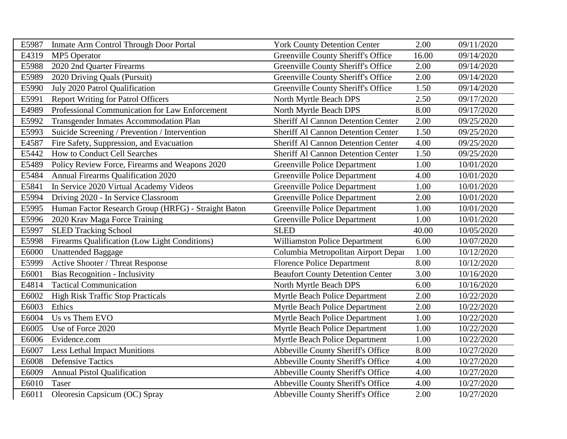| E5987 | Inmate Arm Control Through Door Portal              | <b>York County Detention Center</b>       | 2.00  | 09/11/2020 |
|-------|-----------------------------------------------------|-------------------------------------------|-------|------------|
| E4319 | <b>MP5</b> Operator                                 | <b>Greenville County Sheriff's Office</b> | 16.00 | 09/14/2020 |
| E5988 | 2020 2nd Quarter Firearms                           | <b>Greenville County Sheriff's Office</b> | 2.00  | 09/14/2020 |
| E5989 | 2020 Driving Quals (Pursuit)                        | <b>Greenville County Sheriff's Office</b> | 2.00  | 09/14/2020 |
| E5990 | July 2020 Patrol Qualification                      | <b>Greenville County Sheriff's Office</b> | 1.50  | 09/14/2020 |
| E5991 | <b>Report Writing for Patrol Officers</b>           | North Myrtle Beach DPS                    | 2.50  | 09/17/2020 |
| E4989 | Professional Communication for Law Enforcement      | North Myrtle Beach DPS                    | 8.00  | 09/17/2020 |
| E5992 | Transgender Inmates Accommodation Plan              | <b>Sheriff Al Cannon Detention Center</b> | 2.00  | 09/25/2020 |
| E5993 | Suicide Screening / Prevention / Intervention       | <b>Sheriff Al Cannon Detention Center</b> | 1.50  | 09/25/2020 |
| E4587 | Fire Safety, Suppression, and Evacuation            | <b>Sheriff Al Cannon Detention Center</b> | 4.00  | 09/25/2020 |
| E5442 | How to Conduct Cell Searches                        | <b>Sheriff Al Cannon Detention Center</b> | 1.50  | 09/25/2020 |
| E5489 | Policy Review Force, Firearms and Weapons 2020      | <b>Greenville Police Department</b>       | 1.00  | 10/01/2020 |
| E5484 | Annual Firearms Qualification 2020                  | <b>Greenville Police Department</b>       | 4.00  | 10/01/2020 |
| E5841 | In Service 2020 Virtual Academy Videos              | <b>Greenville Police Department</b>       | 1.00  | 10/01/2020 |
| E5994 | Driving 2020 - In Service Classroom                 | <b>Greenville Police Department</b>       | 2.00  | 10/01/2020 |
| E5995 | Human Factor Research Group (HRFG) - Straight Baton | <b>Greenville Police Department</b>       | 1.00  | 10/01/2020 |
| E5996 | 2020 Krav Maga Force Training                       | <b>Greenville Police Department</b>       | 1.00  | 10/01/2020 |
| E5997 | <b>SLED Tracking School</b>                         | <b>SLED</b>                               | 40.00 | 10/05/2020 |
| E5998 | Firearms Qualification (Low Light Conditions)       | <b>Williamston Police Department</b>      | 6.00  | 10/07/2020 |
| E6000 | <b>Unattended Baggage</b>                           | Columbia Metropolitan Airport Depar       | 1.00  | 10/12/2020 |
| E5999 | Active Shooter / Threat Response                    | <b>Florence Police Department</b>         | 8.00  | 10/12/2020 |
| E6001 | <b>Bias Recognition - Inclusivity</b>               | <b>Beaufort County Detention Center</b>   | 3.00  | 10/16/2020 |
| E4814 | <b>Tactical Communication</b>                       | North Myrtle Beach DPS                    | 6.00  | 10/16/2020 |
| E6002 | <b>High Risk Traffic Stop Practicals</b>            | Myrtle Beach Police Department            | 2.00  | 10/22/2020 |
| E6003 | Ethics                                              | <b>Myrtle Beach Police Department</b>     | 2.00  | 10/22/2020 |
| E6004 | Us vs Them EVO                                      | Myrtle Beach Police Department            | 1.00  | 10/22/2020 |
| E6005 | Use of Force 2020                                   | Myrtle Beach Police Department            | 1.00  | 10/22/2020 |
| E6006 | Evidence.com                                        | Myrtle Beach Police Department            | 1.00  | 10/22/2020 |
| E6007 | <b>Less Lethal Impact Munitions</b>                 | <b>Abbeville County Sheriff's Office</b>  | 8.00  | 10/27/2020 |
| E6008 | <b>Defensive Tactics</b>                            | <b>Abbeville County Sheriff's Office</b>  | 4.00  | 10/27/2020 |
| E6009 | <b>Annual Pistol Qualification</b>                  | <b>Abbeville County Sheriff's Office</b>  | 4.00  | 10/27/2020 |
| E6010 | Taser                                               | Abbeville County Sheriff's Office         | 4.00  | 10/27/2020 |
| E6011 | Oleoresin Capsicum (OC) Spray                       | Abbeville County Sheriff's Office         | 2.00  | 10/27/2020 |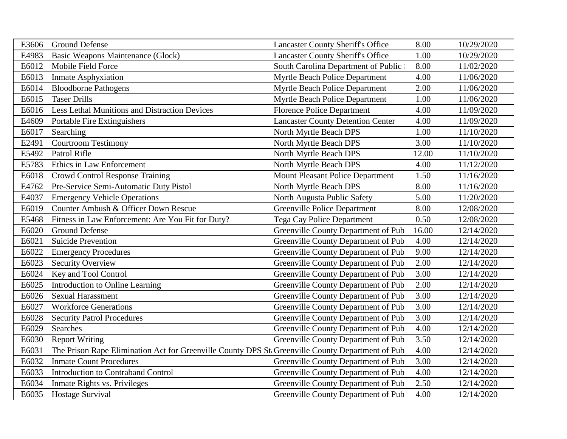| E3606 | <b>Ground Defense</b>                                                                             | <b>Lancaster County Sheriff's Office</b> | 8.00  | 10/29/2020 |
|-------|---------------------------------------------------------------------------------------------------|------------------------------------------|-------|------------|
| E4983 | Basic Weapons Maintenance (Glock)                                                                 | <b>Lancaster County Sheriff's Office</b> | 1.00  | 10/29/2020 |
| E6012 | Mobile Field Force                                                                                | South Carolina Department of Public      | 8.00  | 11/02/2020 |
| E6013 | <b>Inmate Asphyxiation</b>                                                                        | Myrtle Beach Police Department           | 4.00  | 11/06/2020 |
| E6014 | <b>Bloodborne Pathogens</b>                                                                       | Myrtle Beach Police Department           | 2.00  | 11/06/2020 |
| E6015 | <b>Taser Drills</b>                                                                               | Myrtle Beach Police Department           | 1.00  | 11/06/2020 |
| E6016 | Less Lethal Munitions and Distraction Devices                                                     | <b>Florence Police Department</b>        | 4.00  | 11/09/2020 |
| E4609 | Portable Fire Extinguishers                                                                       | <b>Lancaster County Detention Center</b> | 4.00  | 11/09/2020 |
| E6017 | Searching                                                                                         | North Myrtle Beach DPS                   | 1.00  | 11/10/2020 |
| E2491 | <b>Courtroom Testimony</b>                                                                        | North Myrtle Beach DPS                   | 3.00  | 11/10/2020 |
| E5492 | Patrol Rifle                                                                                      | North Myrtle Beach DPS                   | 12.00 | 11/10/2020 |
| E5783 | Ethics in Law Enforcement                                                                         | North Myrtle Beach DPS                   | 4.00  | 11/12/2020 |
| E6018 | <b>Crowd Control Response Training</b>                                                            | <b>Mount Pleasant Police Department</b>  | 1.50  | 11/16/2020 |
| E4762 | Pre-Service Semi-Automatic Duty Pistol                                                            | North Myrtle Beach DPS                   | 8.00  | 11/16/2020 |
| E4037 | <b>Emergency Vehicle Operations</b>                                                               | North Augusta Public Safety              | 5.00  | 11/20/2020 |
| E6019 | Counter Ambush & Officer Down Rescue                                                              | <b>Greenville Police Department</b>      | 8.00  | 12/08/2020 |
| E5468 | Fitness in Law Enforcement: Are You Fit for Duty?                                                 | <b>Tega Cay Police Department</b>        | 0.50  | 12/08/2020 |
| E6020 | <b>Ground Defense</b>                                                                             | Greenville County Department of Pub      | 16.00 | 12/14/2020 |
| E6021 | <b>Suicide Prevention</b>                                                                         | Greenville County Department of Pub      | 4.00  | 12/14/2020 |
| E6022 | <b>Emergency Procedures</b>                                                                       | Greenville County Department of Pub      | 9.00  | 12/14/2020 |
| E6023 | <b>Security Overview</b>                                                                          | Greenville County Department of Pub      | 2.00  | 12/14/2020 |
| E6024 | Key and Tool Control                                                                              | Greenville County Department of Pub      | 3.00  | 12/14/2020 |
| E6025 | Introduction to Online Learning                                                                   | Greenville County Department of Pub      | 2.00  | 12/14/2020 |
| E6026 | Sexual Harassment                                                                                 | Greenville County Department of Pub      | 3.00  | 12/14/2020 |
| E6027 | <b>Workforce Generations</b>                                                                      | Greenville County Department of Pub      | 3.00  | 12/14/2020 |
| E6028 | <b>Security Patrol Procedures</b>                                                                 | Greenville County Department of Pub      | 3.00  | 12/14/2020 |
| E6029 | Searches                                                                                          | Greenville County Department of Pub      | 4.00  | 12/14/2020 |
| E6030 | <b>Report Writing</b>                                                                             | Greenville County Department of Pub      | 3.50  | 12/14/2020 |
| E6031 | The Prison Rape Elimination Act for Greenville County DPS St. Greenville County Department of Pub |                                          | 4.00  | 12/14/2020 |
| E6032 | <b>Inmate Count Procedures</b>                                                                    | Greenville County Department of Pub      | 3.00  | 12/14/2020 |
| E6033 | <b>Introduction to Contraband Control</b>                                                         | Greenville County Department of Pub      | 4.00  | 12/14/2020 |
| E6034 | Inmate Rights vs. Privileges                                                                      | Greenville County Department of Pub      | 2.50  | 12/14/2020 |
|       | E6035 Hostage Survival                                                                            | Greenville County Department of Pub      | 4.00  | 12/14/2020 |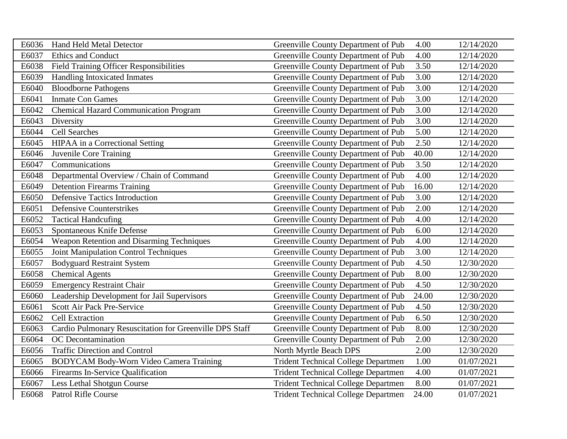| E6036 | <b>Hand Held Metal Detector</b>                         | Greenville County Department of Pub        | 4.00  | 12/14/2020 |
|-------|---------------------------------------------------------|--------------------------------------------|-------|------------|
| E6037 | Ethics and Conduct                                      | Greenville County Department of Pub        | 4.00  | 12/14/2020 |
| E6038 | Field Training Officer Responsibilities                 | Greenville County Department of Pub        | 3.50  | 12/14/2020 |
| E6039 | <b>Handling Intoxicated Inmates</b>                     | Greenville County Department of Pub        | 3.00  | 12/14/2020 |
| E6040 | <b>Bloodborne Pathogens</b>                             | Greenville County Department of Pub        | 3.00  | 12/14/2020 |
| E6041 | <b>Inmate Con Games</b>                                 | Greenville County Department of Pub        | 3.00  | 12/14/2020 |
| E6042 | <b>Chemical Hazard Communication Program</b>            | Greenville County Department of Pub        | 3.00  | 12/14/2020 |
| E6043 | Diversity                                               | Greenville County Department of Pub        | 3.00  | 12/14/2020 |
| E6044 | Cell Searches                                           | Greenville County Department of Pub        | 5.00  | 12/14/2020 |
| E6045 | <b>HIPAA</b> in a Correctional Setting                  | Greenville County Department of Pub        | 2.50  | 12/14/2020 |
| E6046 | Juvenile Core Training                                  | Greenville County Department of Pub        | 40.00 | 12/14/2020 |
| E6047 | Communications                                          | Greenville County Department of Pub        | 3.50  | 12/14/2020 |
| E6048 | Departmental Overview / Chain of Command                | Greenville County Department of Pub        | 4.00  | 12/14/2020 |
| E6049 | <b>Detention Firearms Training</b>                      | Greenville County Department of Pub        | 16.00 | 12/14/2020 |
| E6050 | <b>Defensive Tactics Introduction</b>                   | Greenville County Department of Pub        | 3.00  | 12/14/2020 |
| E6051 | <b>Defensive Counterstrikes</b>                         | Greenville County Department of Pub        | 2.00  | 12/14/2020 |
| E6052 | <b>Tactical Handcufing</b>                              | Greenville County Department of Pub        | 4.00  | 12/14/2020 |
| E6053 | Spontaneous Knife Defense                               | Greenville County Department of Pub        | 6.00  | 12/14/2020 |
| E6054 | Weapon Retention and Disarming Techniques               | Greenville County Department of Pub        | 4.00  | 12/14/2020 |
| E6055 | <b>Joint Manipulation Control Techniques</b>            | Greenville County Department of Pub        | 3.00  | 12/14/2020 |
| E6057 | <b>Bodyguard Restraint System</b>                       | Greenville County Department of Pub        | 4.50  | 12/30/2020 |
| E6058 | <b>Chemical Agents</b>                                  | Greenville County Department of Pub        | 8.00  | 12/30/2020 |
| E6059 | <b>Emergency Restraint Chair</b>                        | Greenville County Department of Pub        | 4.50  | 12/30/2020 |
| E6060 | Leadership Development for Jail Supervisors             | Greenville County Department of Pub        | 24.00 | 12/30/2020 |
| E6061 | Scott Air Pack Pre-Service                              | Greenville County Department of Pub        | 4.50  | 12/30/2020 |
| E6062 | <b>Cell Extraction</b>                                  | Greenville County Department of Pub        | 6.50  | 12/30/2020 |
| E6063 | Cardio Pulmonary Resuscitation for Greenville DPS Staff | Greenville County Department of Pub        | 8.00  | 12/30/2020 |
| E6064 | OC Decontamination                                      | Greenville County Department of Pub        | 2.00  | 12/30/2020 |
| E6056 | <b>Traffic Direction and Control</b>                    | North Myrtle Beach DPS                     | 2.00  | 12/30/2020 |
| E6065 | BODYCAM Body-Worn Video Camera Training                 | <b>Trident Technical College Departmen</b> | 1.00  | 01/07/2021 |
| E6066 | Firearms In-Service Qualification                       | <b>Trident Technical College Departmen</b> | 4.00  | 01/07/2021 |
| E6067 | Less Lethal Shotgun Course                              | <b>Trident Technical College Departmen</b> | 8.00  | 01/07/2021 |
| E6068 | <b>Patrol Rifle Course</b>                              | <b>Trident Technical College Departmen</b> | 24.00 | 01/07/2021 |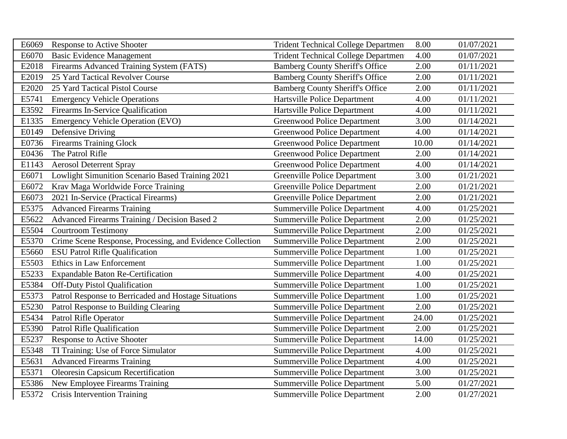| E6069 | <b>Response to Active Shooter</b>                         | <b>Trident Technical College Departmen</b> | 8.00  | 01/07/2021 |
|-------|-----------------------------------------------------------|--------------------------------------------|-------|------------|
| E6070 | <b>Basic Evidence Management</b>                          | <b>Trident Technical College Departmen</b> | 4.00  | 01/07/2021 |
| E2018 | Firearms Advanced Training System (FATS)                  | <b>Bamberg County Sheriff's Office</b>     | 2.00  | 01/11/2021 |
| E2019 | 25 Yard Tactical Revolver Course                          | <b>Bamberg County Sheriff's Office</b>     | 2.00  | 01/11/2021 |
| E2020 | 25 Yard Tactical Pistol Course                            | <b>Bamberg County Sheriff's Office</b>     | 2.00  | 01/11/2021 |
| E5741 | <b>Emergency Vehicle Operations</b>                       | Hartsville Police Department               | 4.00  | 01/11/2021 |
| E3592 | Firearms In-Service Qualification                         | Hartsville Police Department               | 4.00  | 01/11/2021 |
| E1335 | <b>Emergency Vehicle Operation (EVO)</b>                  | <b>Greenwood Police Department</b>         | 3.00  | 01/14/2021 |
| E0149 | Defensive Driving                                         | <b>Greenwood Police Department</b>         | 4.00  | 01/14/2021 |
| E0736 | <b>Firearms Training Glock</b>                            | <b>Greenwood Police Department</b>         | 10.00 | 01/14/2021 |
| E0436 | The Patrol Rifle                                          | <b>Greenwood Police Department</b>         | 2.00  | 01/14/2021 |
| E1143 | <b>Aerosol Deterrent Spray</b>                            | <b>Greenwood Police Department</b>         | 4.00  | 01/14/2021 |
| E6071 | Lowlight Simunition Scenario Based Training 2021          | <b>Greenville Police Department</b>        | 3.00  | 01/21/2021 |
| E6072 | Krav Maga Worldwide Force Training                        | <b>Greenville Police Department</b>        | 2.00  | 01/21/2021 |
| E6073 | 2021 In-Service (Practical Firearms)                      | <b>Greenville Police Department</b>        | 2.00  | 01/21/2021 |
| E5375 | <b>Advanced Firearms Training</b>                         | <b>Summerville Police Department</b>       | 4.00  | 01/25/2021 |
| E5622 | Advanced Firearms Training / Decision Based 2             | <b>Summerville Police Department</b>       | 2.00  | 01/25/2021 |
| E5504 | <b>Courtroom Testimony</b>                                | <b>Summerville Police Department</b>       | 2.00  | 01/25/2021 |
| E5370 | Crime Scene Response, Processing, and Evidence Collection | <b>Summerville Police Department</b>       | 2.00  | 01/25/2021 |
| E5660 | <b>ESU Patrol Rifle Qualification</b>                     | <b>Summerville Police Department</b>       | 1.00  | 01/25/2021 |
| E5503 | Ethics in Law Enforcement                                 | <b>Summerville Police Department</b>       | 1.00  | 01/25/2021 |
| E5233 | <b>Expandable Baton Re-Certification</b>                  | <b>Summerville Police Department</b>       | 4.00  | 01/25/2021 |
| E5384 | <b>Off-Duty Pistol Qualification</b>                      | <b>Summerville Police Department</b>       | 1.00  | 01/25/2021 |
| E5373 | Patrol Response to Berricaded and Hostage Situations      | <b>Summerville Police Department</b>       | 1.00  | 01/25/2021 |
| E5230 | Patrol Response to Building Clearing                      | Summerville Police Department              | 2.00  | 01/25/2021 |
| E5434 | Patrol Rifle Operator                                     | <b>Summerville Police Department</b>       | 24.00 | 01/25/2021 |
| E5390 | Patrol Rifle Qualification                                | <b>Summerville Police Department</b>       | 2.00  | 01/25/2021 |
| E5237 | <b>Response to Active Shooter</b>                         | <b>Summerville Police Department</b>       | 14.00 | 01/25/2021 |
| E5348 | TI Training: Use of Force Simulator                       | <b>Summerville Police Department</b>       | 4.00  | 01/25/2021 |
| E5631 | <b>Advanced Firearms Training</b>                         | <b>Summerville Police Department</b>       | 4.00  | 01/25/2021 |
| E5371 | <b>Oleoresin Capsicum Recertification</b>                 | <b>Summerville Police Department</b>       | 3.00  | 01/25/2021 |
| E5386 | New Employee Firearms Training                            | Summerville Police Department              | 5.00  | 01/27/2021 |
| E5372 | <b>Crisis Intervention Training</b>                       | <b>Summerville Police Department</b>       | 2.00  | 01/27/2021 |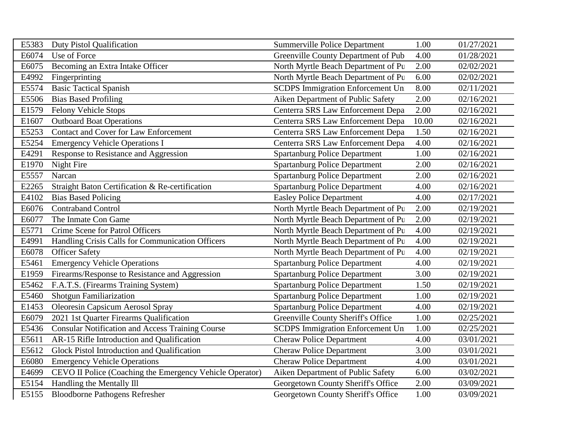| E5383 | <b>Duty Pistol Qualification</b>                         | <b>Summerville Police Department</b>    | 1.00  | 01/27/2021 |
|-------|----------------------------------------------------------|-----------------------------------------|-------|------------|
| E6074 | Use of Force                                             | Greenville County Department of Pub     | 4.00  | 01/28/2021 |
| E6075 | Becoming an Extra Intake Officer                         | North Myrtle Beach Department of Pu     | 2.00  | 02/02/2021 |
| E4992 | Fingerprinting                                           | North Myrtle Beach Department of Pu     | 6.00  | 02/02/2021 |
| E5574 | <b>Basic Tactical Spanish</b>                            | <b>SCDPS</b> Immigration Enforcement Un | 8.00  | 02/11/2021 |
| E5506 | <b>Bias Based Profiling</b>                              | Aiken Department of Public Safety       | 2.00  | 02/16/2021 |
| E1579 | Felony Vehicle Stops                                     | Centerra SRS Law Enforcement Depa       | 2.00  | 02/16/2021 |
| E1607 | <b>Outboard Boat Operations</b>                          | Centerra SRS Law Enforcement Depa       | 10.00 | 02/16/2021 |
| E5253 | Contact and Cover for Law Enforcement                    | Centerra SRS Law Enforcement Depa       | 1.50  | 02/16/2021 |
| E5254 | <b>Emergency Vehicle Operations I</b>                    | Centerra SRS Law Enforcement Depa       | 4.00  | 02/16/2021 |
| E4291 | Response to Resistance and Aggression                    | <b>Spartanburg Police Department</b>    | 1.00  | 02/16/2021 |
| E1970 | Night Fire                                               | <b>Spartanburg Police Department</b>    | 2.00  | 02/16/2021 |
| E5557 | Narcan                                                   | <b>Spartanburg Police Department</b>    | 2.00  | 02/16/2021 |
| E2265 | Straight Baton Certification & Re-certification          | <b>Spartanburg Police Department</b>    | 4.00  | 02/16/2021 |
| E4102 | <b>Bias Based Policing</b>                               | <b>Easley Police Department</b>         | 4.00  | 02/17/2021 |
| E6076 | <b>Contraband Control</b>                                | North Myrtle Beach Department of Pu     | 2.00  | 02/19/2021 |
| E6077 | The Inmate Con Game                                      | North Myrtle Beach Department of Pu     | 2.00  | 02/19/2021 |
| E5771 | Crime Scene for Patrol Officers                          | North Myrtle Beach Department of Pu     | 4.00  | 02/19/2021 |
| E4991 | Handling Crisis Calls for Communication Officers         | North Myrtle Beach Department of Pu     | 4.00  | 02/19/2021 |
| E6078 | <b>Officer Safety</b>                                    | North Myrtle Beach Department of Pu     | 4.00  | 02/19/2021 |
| E5461 | <b>Emergency Vehicle Operations</b>                      | <b>Spartanburg Police Department</b>    | 4.00  | 02/19/2021 |
| E1959 | Firearms/Response to Resistance and Aggression           | <b>Spartanburg Police Department</b>    | 3.00  | 02/19/2021 |
| E5462 | F.A.T.S. (Firearms Training System)                      | <b>Spartanburg Police Department</b>    | 1.50  | 02/19/2021 |
| E5460 | Shotgun Familiarization                                  | <b>Spartanburg Police Department</b>    | 1.00  | 02/19/2021 |
| E1453 | Oleoresin Capsicum Aerosol Spray                         | <b>Spartanburg Police Department</b>    | 4.00  | 02/19/2021 |
| E6079 | 2021 1st Quarter Firearms Qualification                  | Greenville County Sheriff's Office      | 1.00  | 02/25/2021 |
| E5436 | <b>Consular Notification and Access Training Course</b>  | <b>SCDPS</b> Immigration Enforcement Un | 1.00  | 02/25/2021 |
| E5611 | AR-15 Rifle Introduction and Qualification               | <b>Cheraw Police Department</b>         | 4.00  | 03/01/2021 |
| E5612 | Glock Pistol Introduction and Qualification              | <b>Cheraw Police Department</b>         | 3.00  | 03/01/2021 |
| E6080 | <b>Emergency Vehicle Operations</b>                      | <b>Cheraw Police Department</b>         | 4.00  | 03/01/2021 |
| E4699 | CEVO II Police (Coaching the Emergency Vehicle Operator) | Aiken Department of Public Safety       | 6.00  | 03/02/2021 |
| E5154 | Handling the Mentally Ill                                | Georgetown County Sheriff's Office      | 2.00  | 03/09/2021 |
| E5155 | <b>Bloodborne Pathogens Refresher</b>                    | Georgetown County Sheriff's Office      | 1.00  | 03/09/2021 |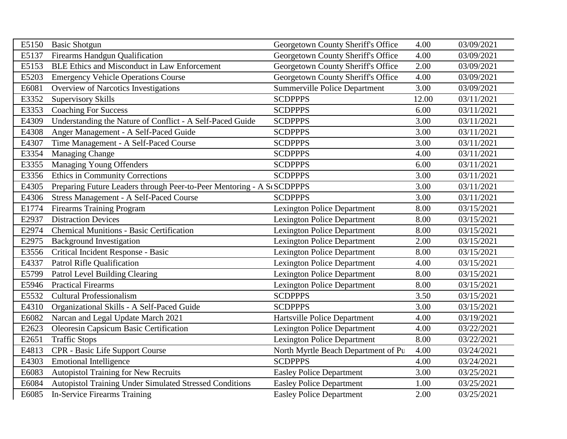| E5150 | <b>Basic Shotgun</b>                                                   | Georgetown County Sheriff's Office   | 4.00  | 03/09/2021 |
|-------|------------------------------------------------------------------------|--------------------------------------|-------|------------|
| E5137 | <b>Firearms Handgun Qualification</b>                                  | Georgetown County Sheriff's Office   | 4.00  | 03/09/2021 |
| E5153 | <b>BLE Ethics and Misconduct in Law Enforcement</b>                    | Georgetown County Sheriff's Office   | 2.00  | 03/09/2021 |
| E5203 | <b>Emergency Vehicle Operations Course</b>                             | Georgetown County Sheriff's Office   | 4.00  | 03/09/2021 |
| E6081 | <b>Overview of Narcotics Investigations</b>                            | <b>Summerville Police Department</b> | 3.00  | 03/09/2021 |
| E3352 | <b>Supervisory Skills</b>                                              | <b>SCDPPPS</b>                       | 12.00 | 03/11/2021 |
| E3353 | <b>Coaching For Success</b>                                            | <b>SCDPPPS</b>                       | 6.00  | 03/11/2021 |
| E4309 | Understanding the Nature of Conflict - A Self-Paced Guide              | <b>SCDPPPS</b>                       | 3.00  | 03/11/2021 |
| E4308 | Anger Management - A Self-Paced Guide                                  | <b>SCDPPPS</b>                       | 3.00  | 03/11/2021 |
| E4307 | Time Management - A Self-Paced Course                                  | <b>SCDPPPS</b>                       | 3.00  | 03/11/2021 |
| E3354 | <b>Managing Change</b>                                                 | <b>SCDPPPS</b>                       | 4.00  | 03/11/2021 |
| E3355 | Managing Young Offenders                                               | <b>SCDPPPS</b>                       | 6.00  | 03/11/2021 |
| E3356 | <b>Ethics in Community Corrections</b>                                 | <b>SCDPPPS</b>                       | 3.00  | 03/11/2021 |
| E4305 | Preparing Future Leaders through Peer-to-Peer Mentoring - A St SCDPPPS |                                      | 3.00  | 03/11/2021 |
| E4306 | Stress Management - A Self-Paced Course                                | <b>SCDPPPS</b>                       | 3.00  | 03/11/2021 |
| E1774 | <b>Firearms Training Program</b>                                       | <b>Lexington Police Department</b>   | 8.00  | 03/15/2021 |
| E2937 | <b>Distraction Devices</b>                                             | <b>Lexington Police Department</b>   | 8.00  | 03/15/2021 |
| E2974 | <b>Chemical Munitions - Basic Certification</b>                        | <b>Lexington Police Department</b>   | 8.00  | 03/15/2021 |
| E2975 | <b>Background Investigation</b>                                        | <b>Lexington Police Department</b>   | 2.00  | 03/15/2021 |
| E3556 | Critical Incident Response - Basic                                     | <b>Lexington Police Department</b>   | 8.00  | 03/15/2021 |
| E4337 | Patrol Rifle Qualification                                             | <b>Lexington Police Department</b>   | 4.00  | 03/15/2021 |
| E5799 | Patrol Level Building Clearing                                         | <b>Lexington Police Department</b>   | 8.00  | 03/15/2021 |
| E5946 | <b>Practical Firearms</b>                                              | <b>Lexington Police Department</b>   | 8.00  | 03/15/2021 |
| E5532 | <b>Cultural Professionalism</b>                                        | <b>SCDPPPS</b>                       | 3.50  | 03/15/2021 |
| E4310 | Organizational Skills - A Self-Paced Guide                             | <b>SCDPPPS</b>                       | 3.00  | 03/15/2021 |
| E6082 | Narcan and Legal Update March 2021                                     | Hartsville Police Department         | 4.00  | 03/19/2021 |
| E2623 | Oleoresin Capsicum Basic Certification                                 | <b>Lexington Police Department</b>   | 4.00  | 03/22/2021 |
| E2651 | <b>Traffic Stops</b>                                                   | <b>Lexington Police Department</b>   | 8.00  | 03/22/2021 |
| E4813 | CPR - Basic Life Support Course                                        | North Myrtle Beach Department of Pu  | 4.00  | 03/24/2021 |
| E4303 | <b>Emotional Intelligence</b>                                          | <b>SCDPPPS</b>                       | 4.00  | 03/24/2021 |
| E6083 | <b>Autopistol Training for New Recruits</b>                            | <b>Easley Police Department</b>      | 3.00  | 03/25/2021 |
| E6084 | Autopistol Training Under Simulated Stressed Conditions                | <b>Easley Police Department</b>      | 1.00  | 03/25/2021 |
| E6085 | <b>In-Service Firearms Training</b>                                    | <b>Easley Police Department</b>      | 2.00  | 03/25/2021 |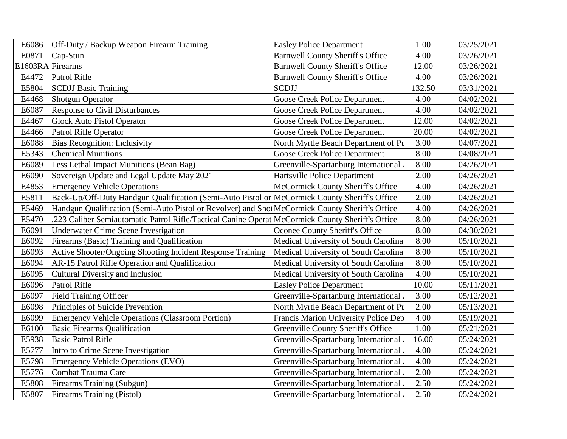| E6086 | Off-Duty / Backup Weapon Firearm Training                                                        | <b>Easley Police Department</b>         | 1.00   | 03/25/2021 |
|-------|--------------------------------------------------------------------------------------------------|-----------------------------------------|--------|------------|
| E0871 | Cap-Stun                                                                                         | <b>Barnwell County Sheriff's Office</b> | 4.00   | 03/26/2021 |
|       | E1603RA Firearms                                                                                 | <b>Barnwell County Sheriff's Office</b> | 12.00  | 03/26/2021 |
| E4472 | Patrol Rifle                                                                                     | <b>Barnwell County Sheriff's Office</b> | 4.00   | 03/26/2021 |
| E5804 | <b>SCDJJ Basic Training</b>                                                                      | <b>SCDJJ</b>                            | 132.50 | 03/31/2021 |
| E4468 | <b>Shotgun Operator</b>                                                                          | <b>Goose Creek Police Department</b>    | 4.00   | 04/02/2021 |
| E6087 | <b>Response to Civil Disturbances</b>                                                            | <b>Goose Creek Police Department</b>    | 4.00   | 04/02/2021 |
| E4467 | <b>Glock Auto Pistol Operator</b>                                                                | <b>Goose Creek Police Department</b>    | 12.00  | 04/02/2021 |
| E4466 | Patrol Rifle Operator                                                                            | Goose Creek Police Department           | 20.00  | 04/02/2021 |
| E6088 | <b>Bias Recognition: Inclusivity</b>                                                             | North Myrtle Beach Department of Pu     | 3.00   | 04/07/2021 |
| E5343 | <b>Chemical Munitions</b>                                                                        | Goose Creek Police Department           | 8.00   | 04/08/2021 |
| E6089 | Less Lethal Impact Munitions (Bean Bag)                                                          | Greenville-Spartanburg International /  | 8.00   | 04/26/2021 |
| E6090 | Sovereign Update and Legal Update May 2021                                                       | Hartsville Police Department            | 2.00   | 04/26/2021 |
| E4853 | <b>Emergency Vehicle Operations</b>                                                              | McCormick County Sheriff's Office       | 4.00   | 04/26/2021 |
| E5811 | Back-Up/Off-Duty Handgun Qualification (Semi-Auto Pistol or McCormick County Sheriff's Office    |                                         | 2.00   | 04/26/2021 |
| E5469 | Handgun Qualification (Semi-Auto Pistol or Revolver) and Shot McCormick County Sheriff's Office  |                                         | 4.00   | 04/26/2021 |
| E5470 | .223 Caliber Semiautomatic Patrol Rifle/Tactical Canine Operat McCormick County Sheriff's Office |                                         | 8.00   | 04/26/2021 |
| E6091 | <b>Underwater Crime Scene Investigation</b>                                                      | Oconee County Sheriff's Office          | 8.00   | 04/30/2021 |
| E6092 | Firearms (Basic) Training and Qualification                                                      | Medical University of South Carolina    | 8.00   | 05/10/2021 |
| E6093 | Active Shooter/Ongoing Shooting Incident Response Training                                       | Medical University of South Carolina    | 8.00   | 05/10/2021 |
| E6094 | AR-15 Patrol Rifle Operation and Qualification                                                   | Medical University of South Carolina    | 8.00   | 05/10/2021 |
| E6095 | Cultural Diversity and Inclusion                                                                 | Medical University of South Carolina    | 4.00   | 05/10/2021 |
| E6096 | Patrol Rifle                                                                                     | <b>Easley Police Department</b>         | 10.00  | 05/11/2021 |
| E6097 | <b>Field Training Officer</b>                                                                    | Greenville-Spartanburg International /  | 3.00   | 05/12/2021 |
| E6098 | Principles of Suicide Prevention                                                                 | North Myrtle Beach Department of Pu     | 2.00   | 05/13/2021 |
| E6099 | <b>Emergency Vehicle Operations (Classroom Portion)</b>                                          | Francis Marion University Police Dep    | 4.00   | 05/19/2021 |
| E6100 | <b>Basic Firearms Qualification</b>                                                              | Greenville County Sheriff's Office      | 1.00   | 05/21/2021 |
| E5938 | <b>Basic Patrol Rifle</b>                                                                        | Greenville-Spartanburg International /  | 16.00  | 05/24/2021 |
| E5777 | Intro to Crime Scene Investigation                                                               | Greenville-Spartanburg International    | 4.00   | 05/24/2021 |
| E5798 | <b>Emergency Vehicle Operations (EVO)</b>                                                        | Greenville-Spartanburg International /  | 4.00   | 05/24/2021 |
| E5776 | Combat Trauma Care                                                                               | Greenville-Spartanburg International    | 2.00   | 05/24/2021 |
| E5808 | Firearms Training (Subgun)                                                                       | Greenville-Spartanburg International    | 2.50   | 05/24/2021 |
| E5807 | Firearms Training (Pistol)                                                                       | Greenville-Spartanburg International    | 2.50   | 05/24/2021 |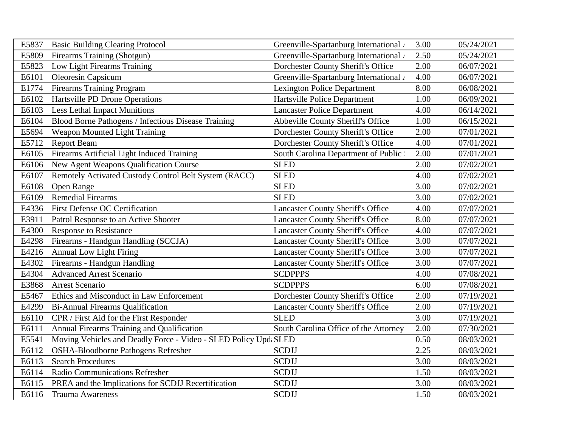| E5837 | <b>Basic Building Clearing Protocol</b>                          | Greenville-Spartanburg International /   | 3.00 | 05/24/2021 |
|-------|------------------------------------------------------------------|------------------------------------------|------|------------|
| E5809 | Firearms Training (Shotgun)                                      | Greenville-Spartanburg International     | 2.50 | 05/24/2021 |
| E5823 | Low Light Firearms Training                                      | Dorchester County Sheriff's Office       | 2.00 | 06/07/2021 |
| E6101 | Oleoresin Capsicum                                               | Greenville-Spartanburg International     | 4.00 | 06/07/2021 |
| E1774 | <b>Firearms Training Program</b>                                 | <b>Lexington Police Department</b>       | 8.00 | 06/08/2021 |
| E6102 | Hartsville PD Drone Operations                                   | Hartsville Police Department             | 1.00 | 06/09/2021 |
| E6103 | <b>Less Lethal Impact Munitions</b>                              | <b>Lancaster Police Department</b>       | 4.00 | 06/14/2021 |
| E6104 | Blood Borne Pathogens / Infectious Disease Training              | <b>Abbeville County Sheriff's Office</b> | 1.00 | 06/15/2021 |
| E5694 | Weapon Mounted Light Training                                    | Dorchester County Sheriff's Office       | 2.00 | 07/01/2021 |
| E5712 | <b>Report Beam</b>                                               | Dorchester County Sheriff's Office       | 4.00 | 07/01/2021 |
| E6105 | Firearms Artificial Light Induced Training                       | South Carolina Department of Public      | 2.00 | 07/01/2021 |
| E6106 | New Agent Weapons Qualification Course                           | <b>SLED</b>                              | 2.00 | 07/02/2021 |
| E6107 | Remotely Activated Custody Control Belt System (RACC)            | <b>SLED</b>                              | 4.00 | 07/02/2021 |
| E6108 | Open Range                                                       | <b>SLED</b>                              | 3.00 | 07/02/2021 |
| E6109 | <b>Remedial Firearms</b>                                         | <b>SLED</b>                              | 3.00 | 07/02/2021 |
| E4336 | <b>First Defense OC Certification</b>                            | <b>Lancaster County Sheriff's Office</b> | 4.00 | 07/07/2021 |
| E3911 | Patrol Response to an Active Shooter                             | <b>Lancaster County Sheriff's Office</b> | 8.00 | 07/07/2021 |
| E4300 | Response to Resistance                                           | <b>Lancaster County Sheriff's Office</b> | 4.00 | 07/07/2021 |
| E4298 | Firearms - Handgun Handling (SCCJA)                              | <b>Lancaster County Sheriff's Office</b> | 3.00 | 07/07/2021 |
| E4216 | <b>Annual Low Light Firing</b>                                   | <b>Lancaster County Sheriff's Office</b> | 3.00 | 07/07/2021 |
| E4302 | Firearms - Handgun Handling                                      | <b>Lancaster County Sheriff's Office</b> | 3.00 | 07/07/2021 |
| E4304 | <b>Advanced Arrest Scenario</b>                                  | <b>SCDPPPS</b>                           | 4.00 | 07/08/2021 |
| E3868 | Arrest Scenario                                                  | <b>SCDPPPS</b>                           | 6.00 | 07/08/2021 |
| E5467 | Ethics and Misconduct in Law Enforcement                         | Dorchester County Sheriff's Office       | 2.00 | 07/19/2021 |
| E4299 | <b>Bi-Annual Firearms Qualification</b>                          | <b>Lancaster County Sheriff's Office</b> | 2.00 | 07/19/2021 |
| E6110 | CPR / First Aid for the First Responder                          | <b>SLED</b>                              | 3.00 | 07/19/2021 |
| E6111 | Annual Firearms Training and Qualification                       | South Carolina Office of the Attorney    | 2.00 | 07/30/2021 |
| E5541 | Moving Vehicles and Deadly Force - Video - SLED Policy Upd; SLED |                                          | 0.50 | 08/03/2021 |
| E6112 | <b>OSHA-Bloodborne Pathogens Refresher</b>                       | <b>SCDJJ</b>                             | 2.25 | 08/03/2021 |
| E6113 | <b>Search Procedures</b>                                         | <b>SCDJJ</b>                             | 3.00 | 08/03/2021 |
| E6114 | Radio Communications Refresher                                   | <b>SCDJJ</b>                             | 1.50 | 08/03/2021 |
| E6115 | PREA and the Implications for SCDJJ Recertification              | <b>SCDJJ</b>                             | 3.00 | 08/03/2021 |
| E6116 | <b>Trauma Awareness</b>                                          | <b>SCDJJ</b>                             | 1.50 | 08/03/2021 |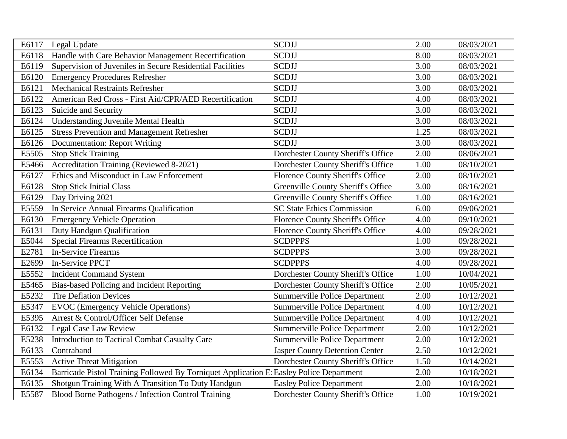| E6117 | Legal Update                                                                            | <b>SCDJJ</b>                              | 2.00 | 08/03/2021 |
|-------|-----------------------------------------------------------------------------------------|-------------------------------------------|------|------------|
| E6118 | Handle with Care Behavior Management Recertification                                    | <b>SCDJJ</b>                              | 8.00 | 08/03/2021 |
| E6119 | Supervision of Juveniles in Secure Residential Facilities                               | <b>SCDJJ</b>                              | 3.00 | 08/03/2021 |
| E6120 | <b>Emergency Procedures Refresher</b>                                                   | <b>SCDJJ</b>                              | 3.00 | 08/03/2021 |
| E6121 | <b>Mechanical Restraints Refresher</b>                                                  | <b>SCDJJ</b>                              | 3.00 | 08/03/2021 |
| E6122 | American Red Cross - First Aid/CPR/AED Recertification                                  | <b>SCDJJ</b>                              | 4.00 | 08/03/2021 |
| E6123 | Suicide and Security                                                                    | <b>SCDJJ</b>                              | 3.00 | 08/03/2021 |
| E6124 | <b>Understanding Juvenile Mental Health</b>                                             | <b>SCDJJ</b>                              | 3.00 | 08/03/2021 |
| E6125 | <b>Stress Prevention and Management Refresher</b>                                       | <b>SCDJJ</b>                              | 1.25 | 08/03/2021 |
| E6126 | <b>Documentation: Report Writing</b>                                                    | <b>SCDJJ</b>                              | 3.00 | 08/03/2021 |
| E5505 | <b>Stop Stick Training</b>                                                              | Dorchester County Sheriff's Office        | 2.00 | 08/06/2021 |
| E5466 | Accreditation Training (Reviewed 8-2021)                                                | Dorchester County Sheriff's Office        | 1.00 | 08/10/2021 |
| E6127 | Ethics and Misconduct in Law Enforcement                                                | Florence County Sheriff's Office          | 2.00 | 08/10/2021 |
| E6128 | <b>Stop Stick Initial Class</b>                                                         | <b>Greenville County Sheriff's Office</b> | 3.00 | 08/16/2021 |
| E6129 | Day Driving 2021                                                                        | <b>Greenville County Sheriff's Office</b> | 1.00 | 08/16/2021 |
| E5559 | In Service Annual Firearms Qualification                                                | <b>SC State Ethics Commission</b>         | 6.00 | 09/06/2021 |
| E6130 | <b>Emergency Vehicle Operation</b>                                                      | Florence County Sheriff's Office          | 4.00 | 09/10/2021 |
| E6131 | Duty Handgun Qualification                                                              | <b>Florence County Sheriff's Office</b>   | 4.00 | 09/28/2021 |
| E5044 | <b>Special Firearms Recertification</b>                                                 | <b>SCDPPPS</b>                            | 1.00 | 09/28/2021 |
| E2781 | <b>In-Service Firearms</b>                                                              | <b>SCDPPPS</b>                            | 3.00 | 09/28/2021 |
| E2699 | In-Service PPCT                                                                         | <b>SCDPPPS</b>                            | 4.00 | 09/28/2021 |
| E5552 | <b>Incident Command System</b>                                                          | Dorchester County Sheriff's Office        | 1.00 | 10/04/2021 |
| E5465 | Bias-based Policing and Incident Reporting                                              | Dorchester County Sheriff's Office        | 2.00 | 10/05/2021 |
| E5232 | <b>Tire Deflation Devices</b>                                                           | <b>Summerville Police Department</b>      | 2.00 | 10/12/2021 |
| E5347 | <b>EVOC</b> (Emergency Vehicle Operations)                                              | <b>Summerville Police Department</b>      | 4.00 | 10/12/2021 |
| E5395 | Arrest & Control/Officer Self Defense                                                   | Summerville Police Department             | 4.00 | 10/12/2021 |
| E6132 | Legal Case Law Review                                                                   | <b>Summerville Police Department</b>      | 2.00 | 10/12/2021 |
| E5238 | Introduction to Tactical Combat Casualty Care                                           | <b>Summerville Police Department</b>      | 2.00 | 10/12/2021 |
| E6133 | Contraband                                                                              | <b>Jasper County Detention Center</b>     | 2.50 | 10/12/2021 |
| E5553 | <b>Active Threat Mitigation</b>                                                         | Dorchester County Sheriff's Office        | 1.50 | 10/14/2021 |
| E6134 | Barricade Pistol Training Followed By Torniquet Application E: Easley Police Department |                                           | 2.00 | 10/18/2021 |
| E6135 | Shotgun Training With A Transition To Duty Handgun                                      | <b>Easley Police Department</b>           | 2.00 | 10/18/2021 |
| E5587 | Blood Borne Pathogens / Infection Control Training                                      | Dorchester County Sheriff's Office        | 1.00 | 10/19/2021 |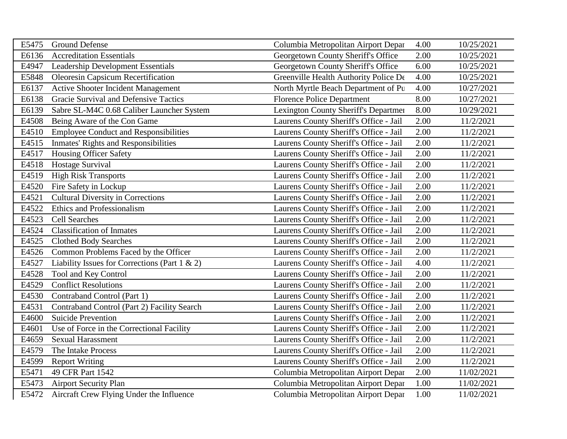| E5475 | <b>Ground Defense</b>                             | Columbia Metropolitan Airport Depar    | 4.00 | 10/25/2021 |
|-------|---------------------------------------------------|----------------------------------------|------|------------|
| E6136 | <b>Accreditation Essentials</b>                   | Georgetown County Sheriff's Office     | 2.00 | 10/25/2021 |
| E4947 | <b>Leadership Development Essentials</b>          | Georgetown County Sheriff's Office     | 6.00 | 10/25/2021 |
| E5848 | <b>Oleoresin Capsicum Recertification</b>         | Greenville Health Authority Police De  | 4.00 | 10/25/2021 |
| E6137 | <b>Active Shooter Incident Management</b>         | North Myrtle Beach Department of Pu    | 4.00 | 10/27/2021 |
| E6138 | Gracie Survival and Defensive Tactics             | <b>Florence Police Department</b>      | 8.00 | 10/27/2021 |
| E6139 | Sabre SL-M4C 0.68 Caliber Launcher System         | Lexington County Sheriff's Departmen   | 8.00 | 10/29/2021 |
| E4508 | Being Aware of the Con Game                       | Laurens County Sheriff's Office - Jail | 2.00 | 11/2/2021  |
| E4510 | <b>Employee Conduct and Responsibilities</b>      | Laurens County Sheriff's Office - Jail | 2.00 | 11/2/2021  |
| E4515 | <b>Inmates' Rights and Responsibilities</b>       | Laurens County Sheriff's Office - Jail | 2.00 | 11/2/2021  |
| E4517 | <b>Housing Officer Safety</b>                     | Laurens County Sheriff's Office - Jail | 2.00 | 11/2/2021  |
| E4518 | Hostage Survival                                  | Laurens County Sheriff's Office - Jail | 2.00 | 11/2/2021  |
| E4519 | <b>High Risk Transports</b>                       | Laurens County Sheriff's Office - Jail | 2.00 | 11/2/2021  |
| E4520 | Fire Safety in Lockup                             | Laurens County Sheriff's Office - Jail | 2.00 | 11/2/2021  |
| E4521 | <b>Cultural Diversity in Corrections</b>          | Laurens County Sheriff's Office - Jail | 2.00 | 11/2/2021  |
| E4522 | Ethics and Professionalism                        | Laurens County Sheriff's Office - Jail | 2.00 | 11/2/2021  |
| E4523 | <b>Cell Searches</b>                              | Laurens County Sheriff's Office - Jail | 2.00 | 11/2/2021  |
| E4524 | <b>Classification of Inmates</b>                  | Laurens County Sheriff's Office - Jail | 2.00 | 11/2/2021  |
| E4525 | <b>Clothed Body Searches</b>                      | Laurens County Sheriff's Office - Jail | 2.00 | 11/2/2021  |
| E4526 | Common Problems Faced by the Officer              | Laurens County Sheriff's Office - Jail | 2.00 | 11/2/2021  |
| E4527 | Liability Issues for Corrections (Part $1 \& 2$ ) | Laurens County Sheriff's Office - Jail | 4.00 | 11/2/2021  |
| E4528 | Tool and Key Control                              | Laurens County Sheriff's Office - Jail | 2.00 | 11/2/2021  |
| E4529 | <b>Conflict Resolutions</b>                       | Laurens County Sheriff's Office - Jail | 2.00 | 11/2/2021  |
| E4530 | Contraband Control (Part 1)                       | Laurens County Sheriff's Office - Jail | 2.00 | 11/2/2021  |
| E4531 | Contraband Control (Part 2) Facility Search       | Laurens County Sheriff's Office - Jail | 2.00 | 11/2/2021  |
| E4600 | <b>Suicide Prevention</b>                         | Laurens County Sheriff's Office - Jail | 2.00 | 11/2/2021  |
| E4601 | Use of Force in the Correctional Facility         | Laurens County Sheriff's Office - Jail | 2.00 | 11/2/2021  |
| E4659 | <b>Sexual Harassment</b>                          | Laurens County Sheriff's Office - Jail | 2.00 | 11/2/2021  |
| E4579 | The Intake Process                                | Laurens County Sheriff's Office - Jail | 2.00 | 11/2/2021  |
| E4599 | <b>Report Writing</b>                             | Laurens County Sheriff's Office - Jail | 2.00 | 11/2/2021  |
| E5471 | 49 CFR Part 1542                                  | Columbia Metropolitan Airport Depar    | 2.00 | 11/02/2021 |
| E5473 | <b>Airport Security Plan</b>                      | Columbia Metropolitan Airport Depar    | 1.00 | 11/02/2021 |
| E5472 | Aircraft Crew Flying Under the Influence          | Columbia Metropolitan Airport Depar    | 1.00 | 11/02/2021 |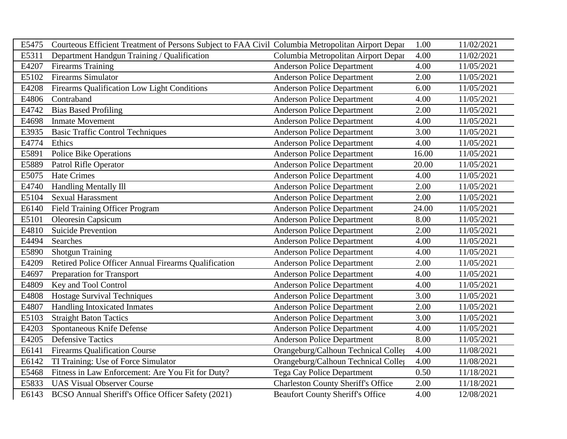| E5475 | Courteous Efficient Treatment of Persons Subject to FAA Civil Columbia Metropolitan Airport Depar |                                           | 1.00  | 11/02/2021 |
|-------|---------------------------------------------------------------------------------------------------|-------------------------------------------|-------|------------|
| E5311 | Department Handgun Training / Qualification                                                       | Columbia Metropolitan Airport Depar       | 4.00  | 11/02/2021 |
| E4207 | <b>Firearms Training</b>                                                                          | <b>Anderson Police Department</b>         | 4.00  | 11/05/2021 |
| E5102 | <b>Firearms Simulator</b>                                                                         | <b>Anderson Police Department</b>         | 2.00  | 11/05/2021 |
| E4208 | Firearms Qualification Low Light Conditions                                                       | <b>Anderson Police Department</b>         | 6.00  | 11/05/2021 |
| E4806 | Contraband                                                                                        | <b>Anderson Police Department</b>         | 4.00  | 11/05/2021 |
| E4742 | <b>Bias Based Profiling</b>                                                                       | <b>Anderson Police Department</b>         | 2.00  | 11/05/2021 |
| E4698 | <b>Inmate Movement</b>                                                                            | <b>Anderson Police Department</b>         | 4.00  | 11/05/2021 |
| E3935 | <b>Basic Traffic Control Techniques</b>                                                           | <b>Anderson Police Department</b>         | 3.00  | 11/05/2021 |
| E4774 | Ethics                                                                                            | <b>Anderson Police Department</b>         | 4.00  | 11/05/2021 |
| E5891 | <b>Police Bike Operations</b>                                                                     | <b>Anderson Police Department</b>         | 16.00 | 11/05/2021 |
| E5889 | Patrol Rifle Operator                                                                             | <b>Anderson Police Department</b>         | 20.00 | 11/05/2021 |
| E5075 | <b>Hate Crimes</b>                                                                                | <b>Anderson Police Department</b>         | 4.00  | 11/05/2021 |
| E4740 | Handling Mentally Ill                                                                             | <b>Anderson Police Department</b>         | 2.00  | 11/05/2021 |
| E5104 | <b>Sexual Harassment</b>                                                                          | <b>Anderson Police Department</b>         | 2.00  | 11/05/2021 |
| E6140 | <b>Field Training Officer Program</b>                                                             | <b>Anderson Police Department</b>         | 24.00 | 11/05/2021 |
| E5101 | Oleoresin Capsicum                                                                                | <b>Anderson Police Department</b>         | 8.00  | 11/05/2021 |
| E4810 | <b>Suicide Prevention</b>                                                                         | <b>Anderson Police Department</b>         | 2.00  | 11/05/2021 |
| E4494 | Searches                                                                                          | <b>Anderson Police Department</b>         | 4.00  | 11/05/2021 |
| E5890 | <b>Shotgun Training</b>                                                                           | <b>Anderson Police Department</b>         | 4.00  | 11/05/2021 |
| E4209 | Retired Police Officer Annual Firearms Qualification                                              | <b>Anderson Police Department</b>         | 2.00  | 11/05/2021 |
| E4697 | <b>Preparation for Transport</b>                                                                  | <b>Anderson Police Department</b>         | 4.00  | 11/05/2021 |
| E4809 | Key and Tool Control                                                                              | <b>Anderson Police Department</b>         | 4.00  | 11/05/2021 |
| E4808 | <b>Hostage Survival Techniques</b>                                                                | <b>Anderson Police Department</b>         | 3.00  | 11/05/2021 |
| E4807 | Handling Intoxicated Inmates                                                                      | <b>Anderson Police Department</b>         | 2.00  | 11/05/2021 |
| E5103 | <b>Straight Baton Tactics</b>                                                                     | <b>Anderson Police Department</b>         | 3.00  | 11/05/2021 |
| E4203 | Spontaneous Knife Defense                                                                         | <b>Anderson Police Department</b>         | 4.00  | 11/05/2021 |
| E4205 | <b>Defensive Tactics</b>                                                                          | <b>Anderson Police Department</b>         | 8.00  | 11/05/2021 |
| E6141 | <b>Firearms Qualification Course</b>                                                              | Orangeburg/Calhoun Technical Colleg       | 4.00  | 11/08/2021 |
| E6142 | TI Training: Use of Force Simulator                                                               | Orangeburg/Calhoun Technical Colley       | 4.00  | 11/08/2021 |
| E5468 | Fitness in Law Enforcement: Are You Fit for Duty?                                                 | <b>Tega Cay Police Department</b>         | 0.50  | 11/18/2021 |
| E5833 | <b>UAS Visual Observer Course</b>                                                                 | <b>Charleston County Sheriff's Office</b> | 2.00  | 11/18/2021 |
| E6143 | BCSO Annual Sheriff's Office Officer Safety (2021)                                                | <b>Beaufort County Sheriff's Office</b>   | 4.00  | 12/08/2021 |